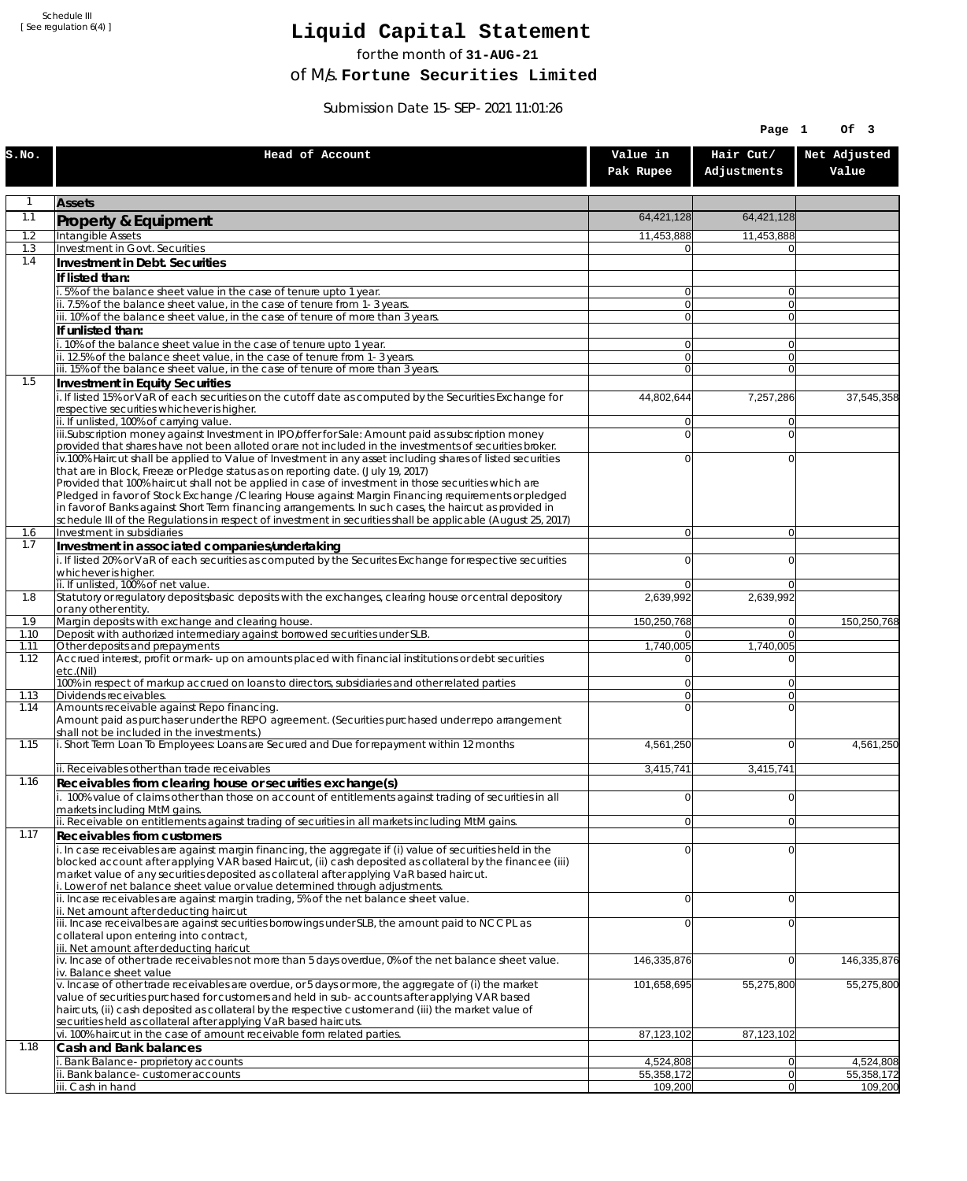Schedule III [ See regulation 6(4) ]

## **Liquid Capital Statement**

for the month of **31-AUG-21**

of M/s. **Fortune Securities Limited**

Submission Date 15-SEP-2021 11:01:26

|              |                                                                                                                                                                                                                        |                         | Page 1                   | Of 3                    |
|--------------|------------------------------------------------------------------------------------------------------------------------------------------------------------------------------------------------------------------------|-------------------------|--------------------------|-------------------------|
| S.NO.        | Head of Account                                                                                                                                                                                                        | Value in<br>Pak Rupee   | Hair Cut/<br>Adjustments | Net Adjusted<br>Value   |
| $\mathbf{1}$ | <b>Assets</b>                                                                                                                                                                                                          |                         |                          |                         |
| 1.1          | Property & Equipment                                                                                                                                                                                                   | 64,421,128              | 64,421,128               |                         |
| 1.2          | Intangible Assets                                                                                                                                                                                                      | 11,453,888              | 11,453,888               |                         |
| 1.3<br>1.4   | Investment in Govt. Securities<br>Investment in Debt. Securities                                                                                                                                                       | ΩI                      |                          |                         |
|              | If listed than:                                                                                                                                                                                                        |                         |                          |                         |
|              | i. 5% of the balance sheet value in the case of tenure upto 1 year.                                                                                                                                                    | $\overline{0}$          | $\overline{0}$           |                         |
|              | ii. 7.5% of the balance sheet value, in the case of tenure from 1-3 years.                                                                                                                                             | $\overline{0}$          | $\overline{0}$           |                         |
|              | iii. 10% of the balance sheet value, in the case of tenure of more than 3 years.<br>If unlisted than:                                                                                                                  | $\overline{0}$          | $\overline{0}$           |                         |
|              | i. 10% of the balance sheet value in the case of tenure upto 1 year.                                                                                                                                                   | 0                       | $\Omega$                 |                         |
|              | ii. 12.5% of the balance sheet value, in the case of tenure from 1-3 years.                                                                                                                                            | $\overline{0}$          | $\overline{0}$           |                         |
| 1.5          | iii. 15% of the balance sheet value, in the case of tenure of more than 3 years.<br>Investment in Equity Securities                                                                                                    | $\overline{0}$          | $\Omega$                 |                         |
|              | i. If listed 15% or VaR of each securities on the cutoff date as computed by the Securities Exchange for                                                                                                               | 44,802,644              | 7,257,286                | 37,545,358              |
|              | respective securities whichever is higher.                                                                                                                                                                             |                         |                          |                         |
|              | ii. If unlisted, 100% of carrying value.<br>iii.Subscription money against Investment in IPO/offer for Sale: Amount paid as subscription money                                                                         | 0<br>$\mathbf 0$        | $\Omega$<br>$\Omega$     |                         |
|              | provided that shares have not been alloted or are not included in the investments of securities broker.                                                                                                                |                         |                          |                         |
|              | iv.100% Haircut shall be applied to Value of Investment in any asset including shares of listed securities                                                                                                             | 0                       | $\Omega$                 |                         |
|              | that are in Block, Freeze or Pledge status as on reporting date. (July 19, 2017)<br>Provided that 100% haircut shall not be applied in case of investment in those securities which are                                |                         |                          |                         |
|              | Pledged in favor of Stock Exchange / Clearing House against Margin Financing requirements or pledged                                                                                                                   |                         |                          |                         |
|              | in favor of Banks against Short Term financing arrangements. In such cases, the haircut as provided in<br>schedule III of the Regulations in respect of investment in securities shall be applicable (August 25, 2017) |                         |                          |                         |
| 1.6          | Investment in subsidiaries                                                                                                                                                                                             | $\overline{0}$          | $\overline{0}$           |                         |
| 1.7          | Investment in associated companies/undertaking                                                                                                                                                                         |                         |                          |                         |
|              | i. If listed 20% or VaR of each securities as computed by the Securites Exchange for respective securities<br>whichever is higher.                                                                                     | 0                       | $\Omega$                 |                         |
|              | ii. If unlisted, 100% of net value.                                                                                                                                                                                    | 0                       | $\Omega$                 |                         |
| 1.8          | Statutory or regulatory deposits/basic deposits with the exchanges, clearing house or central depository                                                                                                               | 2,639,992               | 2,639,992                |                         |
| 1.9          | or any other entity.<br>Margin deposits with exchange and clearing house.                                                                                                                                              | 150,250,768             | 0                        | 150,250,768             |
| 1.10         | Deposit with authorized intermediary against borrowed securities under SLB.                                                                                                                                            | 01                      | $\overline{0}$           |                         |
| 1.11<br>1.12 | Other deposits and prepayments<br>Accrued interest, profit or mark-up on amounts placed with financial institutions or debt securities                                                                                 | 1,740,005<br>$\Omega$   | 1,740,005<br>$\Omega$    |                         |
|              | etc.(Nil)                                                                                                                                                                                                              |                         |                          |                         |
| 1.13         | 100% in respect of markup accrued on loans to directors, subsidiaries and other related parties<br>Dividends receivables.                                                                                              | 0<br>$\overline{0}$     | $\Omega$<br>$\Omega$     |                         |
| 1.14         | Amounts receivable against Repo financing.                                                                                                                                                                             | $\mathbf 0$             | $\Omega$                 |                         |
|              | Amount paid as purchaser under the REPO agreement. (Securities purchased under repo arrangement                                                                                                                        |                         |                          |                         |
| 1.15         | shall not be included in the investments.)<br>i. Short Term Loan To Employees: Loans are Secured and Due for repayment within 12 months                                                                                | 4,561,250               | $\overline{0}$           | 4,561,250               |
|              |                                                                                                                                                                                                                        |                         |                          |                         |
| 1.16         | ii. Receivables other than trade receivables                                                                                                                                                                           | 3,415,741               | 3,415,741                |                         |
|              | Receivables from clearing house or securities exchange(s)<br>i. 100% value of claims other than those on account of entitlements against trading of securities in all                                                  | 0                       | 0                        |                         |
|              | markets including MtM gains.                                                                                                                                                                                           |                         |                          |                         |
| 1.17         | ii. Receivable on entitlements against trading of securities in all markets including MtM gains.                                                                                                                       | $\overline{0}$          | 0                        |                         |
|              | <b>Receivables from customers</b><br>i. In case receivables are against margin financing, the aggregate if (i) value of securities held in the                                                                         | $\mathbf 0$             | $\Omega$                 |                         |
|              | blocked account after applying VAR based Haircut, (ii) cash deposited as collateral by the financee (iii)                                                                                                              |                         |                          |                         |
|              | market value of any securities deposited as collateral after applying VaR based haircut.<br>i. Lower of net balance sheet value or value determined through adjustments.                                               |                         |                          |                         |
|              | ii. Incase receivables are against margin trading, 5% of the net balance sheet value.                                                                                                                                  | $\mathbf 0$             | $\overline{0}$           |                         |
|              | ii. Net amount after deducting haircut                                                                                                                                                                                 |                         |                          |                         |
|              | iii. Incase receivalbes are against securities borrowings under SLB, the amount paid to NCCPL as<br>collateral upon entering into contract,                                                                            | 0                       | $\Omega$                 |                         |
|              | iii. Net amount after deducting haricut                                                                                                                                                                                |                         |                          |                         |
|              | $iv.$ Incase of other trade receivables not more than 5 days overdue, 0% of the net balance sheet value.<br>iv. Balance sheet value                                                                                    | 146,335,876             | 0                        | 146,335,876             |
|              | v. Incase of other trade receivables are overdue, or 5 days or more, the aggregate of (i) the market                                                                                                                   | 101,658,695             | 55,275,800               | 55,275,800              |
|              | value of securities purchased for customers and held in sub-accounts after applying VAR based                                                                                                                          |                         |                          |                         |
|              | haircuts, (ii) cash deposited as collateral by the respective customer and (iii) the market value of<br>securities held as collateral after applying VaR based haircuts.                                               |                         |                          |                         |
|              | vi. 100% haircut in the case of amount receivable form related parties.                                                                                                                                                | 87,123,102              | 87,123,102               |                         |
| 1.18         | Cash and Bank balances                                                                                                                                                                                                 |                         |                          |                         |
|              | i. Bank Balance-proprietory accounts<br>ii. Bank balance-customer accounts                                                                                                                                             | 4,524,808<br>55,358,172 | 0 <br> 0                 | 4,524,808<br>55,358,172 |
|              | iii. Cash in hand                                                                                                                                                                                                      | 109,200                 | 0                        | 109,200                 |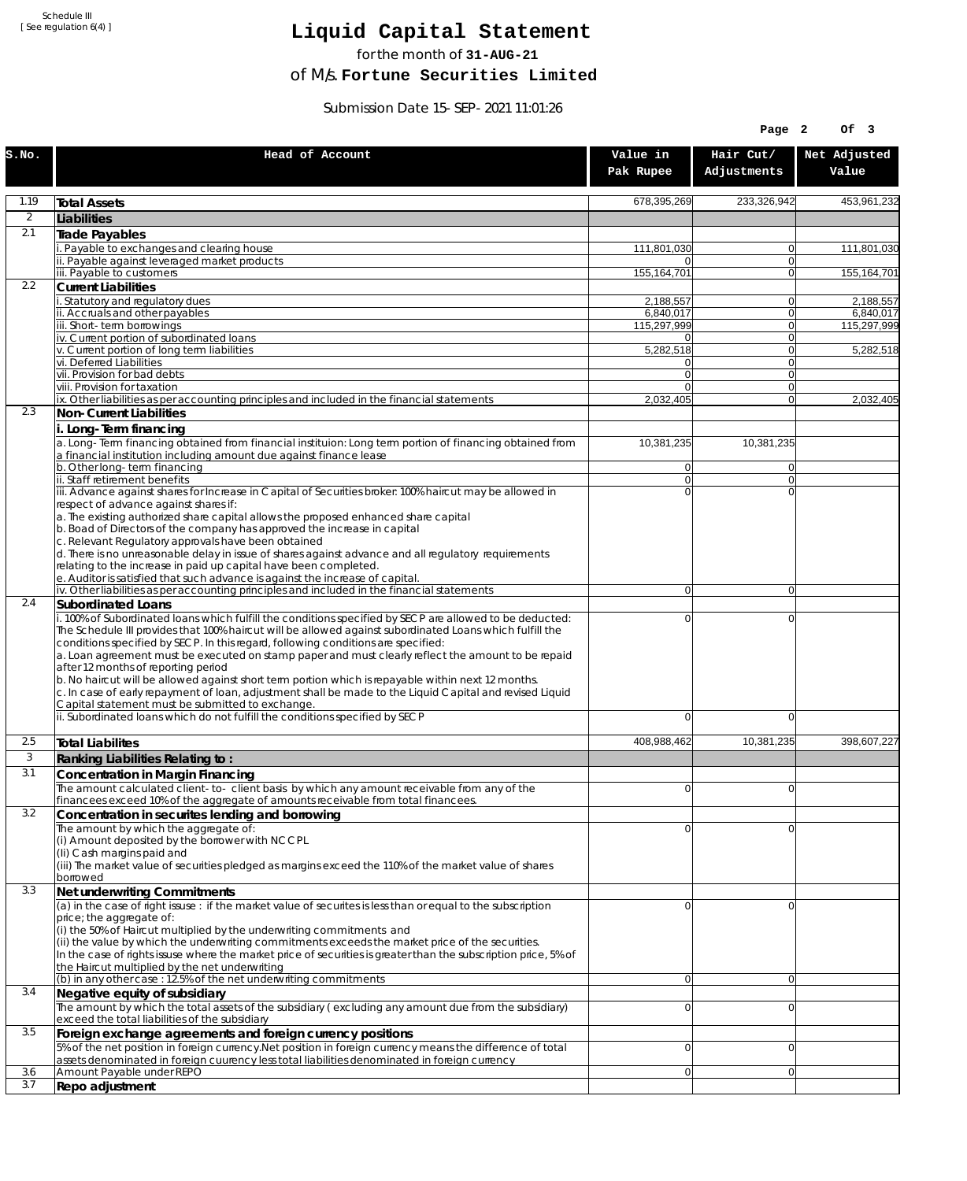Schedule III [ See regulation 6(4) ]

## **Liquid Capital Statement**

for the month of **31-AUG-21**

of M/s. **Fortune Securities Limited**

Submission Date 15-SEP-2021 11:01:26

|                |                                                                                                                                                                                                                                                                                                                                                                                                                                                                                                                                                                                                                                                                                                                                                          |                          | Page 2                   | OF <sub>3</sub>          |
|----------------|----------------------------------------------------------------------------------------------------------------------------------------------------------------------------------------------------------------------------------------------------------------------------------------------------------------------------------------------------------------------------------------------------------------------------------------------------------------------------------------------------------------------------------------------------------------------------------------------------------------------------------------------------------------------------------------------------------------------------------------------------------|--------------------------|--------------------------|--------------------------|
| S.NO.          | Head of Account                                                                                                                                                                                                                                                                                                                                                                                                                                                                                                                                                                                                                                                                                                                                          | Value in<br>Pak Rupee    | Hair Cut/<br>Adjustments | Net Adjusted<br>Value    |
| 1.19           | <b>Total Assets</b>                                                                                                                                                                                                                                                                                                                                                                                                                                                                                                                                                                                                                                                                                                                                      | 678,395,269              | 233,326,942              | 453,961,232              |
| $\overline{2}$ | Liabilities                                                                                                                                                                                                                                                                                                                                                                                                                                                                                                                                                                                                                                                                                                                                              |                          |                          |                          |
| 2.1            | Trade Payables                                                                                                                                                                                                                                                                                                                                                                                                                                                                                                                                                                                                                                                                                                                                           |                          |                          |                          |
|                | Payable to exchanges and clearing house                                                                                                                                                                                                                                                                                                                                                                                                                                                                                                                                                                                                                                                                                                                  | 111,801,030              | 0                        | 111,801,030              |
|                | ii. Payable against leveraged market products<br>iii. Payable to customers                                                                                                                                                                                                                                                                                                                                                                                                                                                                                                                                                                                                                                                                               | 0<br>155,164,701         | $\mathbf{0}$<br>0        | 155,164,701              |
| 2.2            | <b>Current Liabilities</b>                                                                                                                                                                                                                                                                                                                                                                                                                                                                                                                                                                                                                                                                                                                               |                          |                          |                          |
|                | Statutory and regulatory dues                                                                                                                                                                                                                                                                                                                                                                                                                                                                                                                                                                                                                                                                                                                            | 2,188,557                | 0                        | 2,188,557                |
|                | ii. Accruals and other payables<br>iii. Short-term borrowinas                                                                                                                                                                                                                                                                                                                                                                                                                                                                                                                                                                                                                                                                                            | 6,840,017<br>115,297,999 | $\mathbf{0}$<br>0        | 6,840,017<br>115,297,999 |
|                | iv. Current portion of subordinated loans                                                                                                                                                                                                                                                                                                                                                                                                                                                                                                                                                                                                                                                                                                                | 0                        | 0                        |                          |
|                | v. Current portion of long term liabilities                                                                                                                                                                                                                                                                                                                                                                                                                                                                                                                                                                                                                                                                                                              | 5,282,518                | $\mathbf{0}$             | 5,282,518                |
|                | vi. Deferred Liabilities<br>vii. Provision for bad debts                                                                                                                                                                                                                                                                                                                                                                                                                                                                                                                                                                                                                                                                                                 | 0<br>$\overline{0}$      | 0<br>$\mathbf{0}$        |                          |
|                | viii. Provision for taxation                                                                                                                                                                                                                                                                                                                                                                                                                                                                                                                                                                                                                                                                                                                             | $\Omega$                 | 0                        |                          |
|                | ix. Other liabilities as per accounting principles and included in the financial statements                                                                                                                                                                                                                                                                                                                                                                                                                                                                                                                                                                                                                                                              | 2,032,405                | $\overline{0}$           | 2,032,405                |
| 2.3            | Non-Current Liabilities                                                                                                                                                                                                                                                                                                                                                                                                                                                                                                                                                                                                                                                                                                                                  |                          |                          |                          |
|                | i. Long-Term financing<br>a. Long-Term financing obtained from financial instituion: Long term portion of financing obtained from<br>a financial institution including amount due against finance lease                                                                                                                                                                                                                                                                                                                                                                                                                                                                                                                                                  | 10,381,235               | 10,381,235               |                          |
|                | b. Other long-term financing<br>ii. Staff retirement benefits                                                                                                                                                                                                                                                                                                                                                                                                                                                                                                                                                                                                                                                                                            | 0 <br>$\overline{0}$     | $\mathbf{0}$<br>0        |                          |
|                | iii. Advance against shares for Increase in Capital of Securities broker: 100% haircut may be allowed in                                                                                                                                                                                                                                                                                                                                                                                                                                                                                                                                                                                                                                                 | $\Omega$                 | $\Omega$                 |                          |
|                | respect of advance against shares if:<br>a. The existing authorized share capital allows the proposed enhanced share capital<br>b. Boad of Directors of the company has approved the increase in capital<br>c. Relevant Regulatory approvals have been obtained<br>d. There is no unreasonable delay in issue of shares against advance and all regulatory requirements<br>relating to the increase in paid up capital have been completed.<br>e. Auditor is satisfied that such advance is against the increase of capital.                                                                                                                                                                                                                             |                          |                          |                          |
|                | iv. Other liabilities as per accounting principles and included in the financial statements                                                                                                                                                                                                                                                                                                                                                                                                                                                                                                                                                                                                                                                              | $\overline{0}$           | $\overline{0}$           |                          |
| 2.4            | <b>Subordinated Loans</b><br>. 100% of Subordinated loans which fulfill the conditions specified by SECP are allowed to be deducted:<br>The Schedule III provides that 100% haircut will be allowed against subordinated Loans which fulfill the<br>conditions specified by SECP. In this regard, following conditions are specified:<br>a. Loan agreement must be executed on stamp paper and must clearly reflect the amount to be repaid<br>after 12 months of reporting period<br>b. No haircut will be allowed against short term portion which is repayable within next 12 months.<br>c. In case of early repayment of loan, adjustment shall be made to the Liquid Capital and revised Liquid<br>Capital statement must be submitted to exchange. | 0                        | 0                        |                          |
|                | ii. Subordinated loans which do not fulfill the conditions specified by SECP                                                                                                                                                                                                                                                                                                                                                                                                                                                                                                                                                                                                                                                                             | 0                        | 0                        |                          |
| 2.5            | <b>Total Liabilites</b>                                                                                                                                                                                                                                                                                                                                                                                                                                                                                                                                                                                                                                                                                                                                  | 408,988,462              | 10,381,235               | 398,607,227              |
| 3              | Ranking Liabilities Relating to:                                                                                                                                                                                                                                                                                                                                                                                                                                                                                                                                                                                                                                                                                                                         |                          |                          |                          |
| 3.1            | Concentration in Margin Financing                                                                                                                                                                                                                                                                                                                                                                                                                                                                                                                                                                                                                                                                                                                        |                          |                          |                          |
|                | The amount calculated client-to- client basis by which any amount receivable from any of the                                                                                                                                                                                                                                                                                                                                                                                                                                                                                                                                                                                                                                                             | ΩI                       | $\Omega$                 |                          |
| 3.2            | financees exceed 10% of the aggregate of amounts receivable from total financees.                                                                                                                                                                                                                                                                                                                                                                                                                                                                                                                                                                                                                                                                        |                          |                          |                          |
|                | Concentration in securites lending and borrowing<br>The amount by which the aggregate of:                                                                                                                                                                                                                                                                                                                                                                                                                                                                                                                                                                                                                                                                | 0                        | 0                        |                          |
|                | (i) Amount deposited by the borrower with NCCPL<br>(Ii) Cash margins paid and<br>(iii) The market value of securities pledged as margins exceed the 110% of the market value of shares<br>borrowed                                                                                                                                                                                                                                                                                                                                                                                                                                                                                                                                                       |                          |                          |                          |
| 3.3            | Net underwriting Commitments                                                                                                                                                                                                                                                                                                                                                                                                                                                                                                                                                                                                                                                                                                                             |                          |                          |                          |
|                | (a) in the case of right issuse : if the market value of securites is less than or equal to the subscription<br>price; the aggregate of:<br>(i) the 50% of Haircut multiplied by the underwriting commitments and<br>(ii) the value by which the underwriting commitments exceeds the market price of the securities.<br>In the case of rights issuse where the market price of securities is greater than the subscription price, 5% of<br>the Haircut multiplied by the net underwriting                                                                                                                                                                                                                                                               | 0                        | 0                        |                          |
| 3.4            | (b) in any other case: 12.5% of the net underwriting commitments<br>Negative equity of subsidiary                                                                                                                                                                                                                                                                                                                                                                                                                                                                                                                                                                                                                                                        | 0                        | 0                        |                          |
|                | The amount by which the total assets of the subsidiary (excluding any amount due from the subsidiary)<br>exceed the total liabilities of the subsidiary                                                                                                                                                                                                                                                                                                                                                                                                                                                                                                                                                                                                  | $\overline{0}$           | 0                        |                          |
| 3.5            | Foreign exchange agreements and foreign currency positions                                                                                                                                                                                                                                                                                                                                                                                                                                                                                                                                                                                                                                                                                               |                          |                          |                          |
| 3.6            | 5% of the net position in foreign currency. Net position in foreign currency means the difference of total<br>assets denominated in foreign cuurency less total liabilities denominated in foreign currency<br>Amount Payable under REPO                                                                                                                                                                                                                                                                                                                                                                                                                                                                                                                 | 0<br>0                   | 0<br> 0                  |                          |
| 3.7            | Repo adjustment                                                                                                                                                                                                                                                                                                                                                                                                                                                                                                                                                                                                                                                                                                                                          |                          |                          |                          |
|                |                                                                                                                                                                                                                                                                                                                                                                                                                                                                                                                                                                                                                                                                                                                                                          |                          |                          |                          |